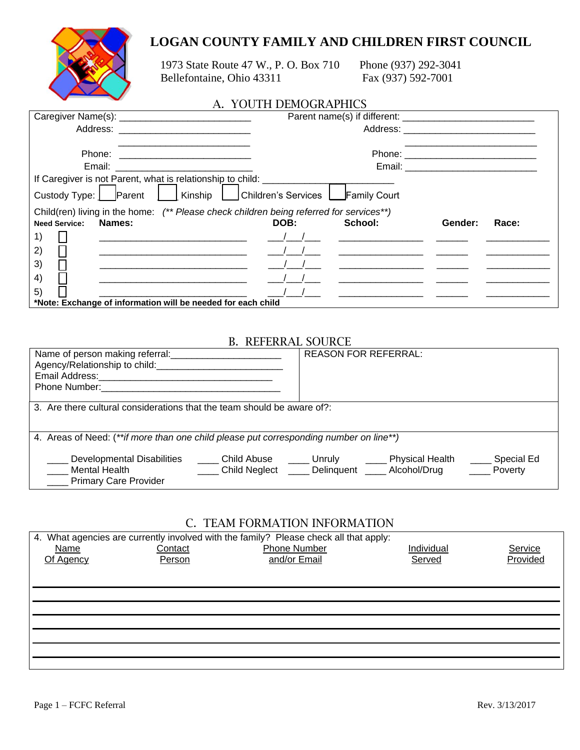# **LOGAN COUNTY FAMILY AND CHILDREN FIRST COUNCIL**



 1973 State Route 47 W., P. O. Box 710 Phone (937) 292-3041 Bellefontaine, Ohio 43311 Fax (937) 592-7001

### A. YOUTH DEMOGRAPHICS

|                                                                                         | Parent name(s) if different: |                                                                                                                                                                                                                                      |                                  |       |  |
|-----------------------------------------------------------------------------------------|------------------------------|--------------------------------------------------------------------------------------------------------------------------------------------------------------------------------------------------------------------------------------|----------------------------------|-------|--|
|                                                                                         |                              |                                                                                                                                                                                                                                      |                                  |       |  |
|                                                                                         |                              |                                                                                                                                                                                                                                      |                                  |       |  |
|                                                                                         |                              |                                                                                                                                                                                                                                      |                                  |       |  |
| Email: __________________________                                                       |                              |                                                                                                                                                                                                                                      | Email: _________________________ |       |  |
| If Caregiver is not Parent, what is relationship to child: _________                    |                              |                                                                                                                                                                                                                                      |                                  |       |  |
| Custody Type: Parent     Kinship   Children's Services   Family Court                   |                              |                                                                                                                                                                                                                                      |                                  |       |  |
| Child(ren) living in the home: (** Please check children being referred for services**) |                              |                                                                                                                                                                                                                                      |                                  |       |  |
| Names:<br><b>Need Service:</b>                                                          | DOB:                         | School:                                                                                                                                                                                                                              | Gender:                          | Race: |  |
| 1)                                                                                      |                              |                                                                                                                                                                                                                                      |                                  |       |  |
| 2)                                                                                      |                              | <u> 1989 - Johann Harry Harry Harry Harry Harry Harry Harry Harry Harry Harry Harry Harry Harry Harry Harry Harry Harry Harry Harry Harry Harry Harry Harry Harry Harry Harry Harry Harry Harry Harry Harry Harry Harry Harry Ha</u> |                                  |       |  |
| 3)                                                                                      |                              |                                                                                                                                                                                                                                      |                                  |       |  |
| 4)                                                                                      |                              |                                                                                                                                                                                                                                      |                                  |       |  |
| 5)                                                                                      |                              |                                                                                                                                                                                                                                      |                                  |       |  |
| *Note: Exchange of information will be needed for each child                            |                              |                                                                                                                                                                                                                                      |                                  |       |  |

### B. REFERRAL SOURCE

| Name of person making referral:<br>Agency/Relationship to child:<br>Email Address:<br><b>Phone Number:</b> The Manuscripture of the Manuscripture of the Manuscripture of the Manuscripture of the Manuscripture of the Manuscripture of the Manuscripture of the Manuscripture of the Manuscripture of the Manuscripture | <b>REASON FOR REFERRAL:</b>                                                                   |  |  |  |  |
|---------------------------------------------------------------------------------------------------------------------------------------------------------------------------------------------------------------------------------------------------------------------------------------------------------------------------|-----------------------------------------------------------------------------------------------|--|--|--|--|
| 3. Are there cultural considerations that the team should be aware of?:                                                                                                                                                                                                                                                   |                                                                                               |  |  |  |  |
| 4. Areas of Need: (**if more than one child please put corresponding number on line**)                                                                                                                                                                                                                                    |                                                                                               |  |  |  |  |
| Developmental Disabilities<br>Child Abuse <b>Lacker Lines</b> Unruly <b>Lacker</b><br>Mental Health<br><b>____</b> Primary Care Provider                                                                                                                                                                                  | Physical Health<br>Special Ed<br>Child Neglect _____ Delinquent _____ Alcohol/Drug<br>Poverty |  |  |  |  |

## C. TEAM FORMATION INFORMATION

|             |         | 4. What agencies are currently involved with the family? Please check all that apply: |            |          |
|-------------|---------|---------------------------------------------------------------------------------------|------------|----------|
| <u>Name</u> | Contact | <b>Phone Number</b>                                                                   | Individual | Service  |
| Of Agency   | Person  | and/or Email                                                                          | Served     | Provided |
|             |         |                                                                                       |            |          |
|             |         |                                                                                       |            |          |
|             |         |                                                                                       |            |          |
|             |         |                                                                                       |            |          |
|             |         |                                                                                       |            |          |
|             |         |                                                                                       |            |          |
|             |         |                                                                                       |            |          |
|             |         |                                                                                       |            |          |
|             |         |                                                                                       |            |          |